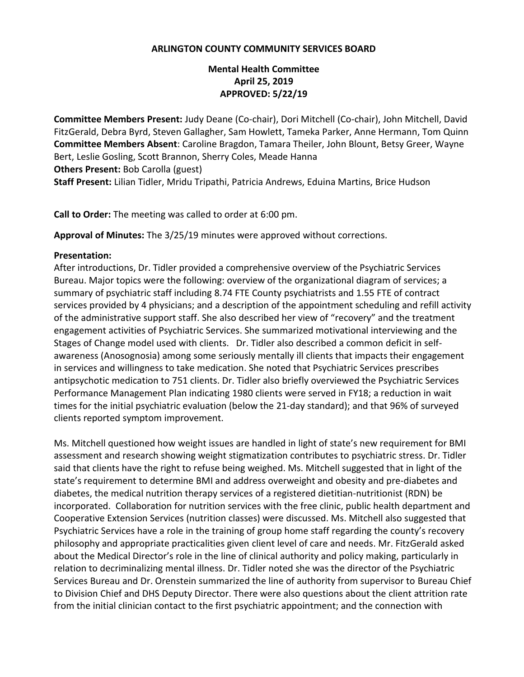#### **ARLINGTON COUNTY COMMUNITY SERVICES BOARD**

# **Mental Health Committee April 25, 2019 APPROVED: 5/22/19**

**Committee Members Present:** Judy Deane (Co-chair), Dori Mitchell (Co-chair), John Mitchell, David FitzGerald, Debra Byrd, Steven Gallagher, Sam Howlett, Tameka Parker, Anne Hermann, Tom Quinn **Committee Members Absent**: Caroline Bragdon, Tamara Theiler, John Blount, Betsy Greer, Wayne Bert, Leslie Gosling, Scott Brannon, Sherry Coles, Meade Hanna **Others Present:** Bob Carolla (guest) **Staff Present:** Lilian Tidler, Mridu Tripathi, Patricia Andrews, Eduina Martins, Brice Hudson

**Call to Order:** The meeting was called to order at 6:00 pm.

**Approval of Minutes:** The 3/25/19 minutes were approved without corrections.

#### **Presentation:**

After introductions, Dr. Tidler provided a comprehensive overview of the Psychiatric Services Bureau. Major topics were the following: overview of the organizational diagram of services; a summary of psychiatric staff including 8.74 FTE County psychiatrists and 1.55 FTE of contract services provided by 4 physicians; and a description of the appointment scheduling and refill activity of the administrative support staff. She also described her view of "recovery" and the treatment engagement activities of Psychiatric Services. She summarized motivational interviewing and the Stages of Change model used with clients. Dr. Tidler also described a common deficit in selfawareness (Anosognosia) among some seriously mentally ill clients that impacts their engagement in services and willingness to take medication. She noted that Psychiatric Services prescribes antipsychotic medication to 751 clients. Dr. Tidler also briefly overviewed the Psychiatric Services Performance Management Plan indicating 1980 clients were served in FY18; a reduction in wait times for the initial psychiatric evaluation (below the 21-day standard); and that 96% of surveyed clients reported symptom improvement.

Ms. Mitchell questioned how weight issues are handled in light of state's new requirement for BMI assessment and research showing weight stigmatization contributes to psychiatric stress. Dr. Tidler said that clients have the right to refuse being weighed. Ms. Mitchell suggested that in light of the state's requirement to determine BMI and address overweight and obesity and pre-diabetes and diabetes, the medical nutrition therapy services of a registered dietitian-nutritionist (RDN) be incorporated. Collaboration for nutrition services with the free clinic, public health department and Cooperative Extension Services (nutrition classes) were discussed. Ms. Mitchell also suggested that Psychiatric Services have a role in the training of group home staff regarding the county's recovery philosophy and appropriate practicalities given client level of care and needs. Mr. FitzGerald asked about the Medical Director's role in the line of clinical authority and policy making, particularly in relation to decriminalizing mental illness. Dr. Tidler noted she was the director of the Psychiatric Services Bureau and Dr. Orenstein summarized the line of authority from supervisor to Bureau Chief to Division Chief and DHS Deputy Director. There were also questions about the client attrition rate from the initial clinician contact to the first psychiatric appointment; and the connection with